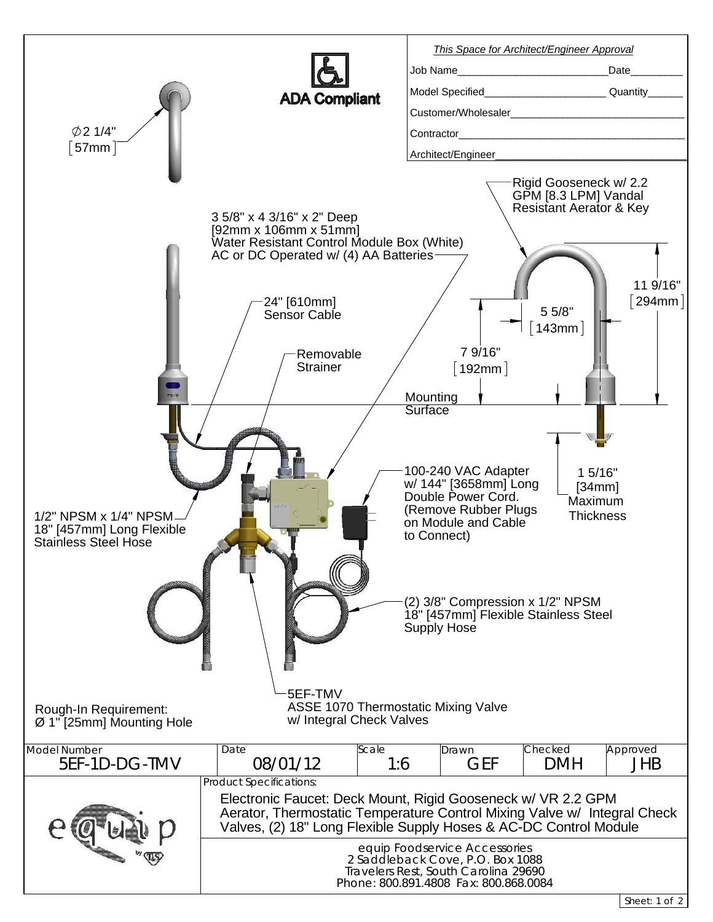